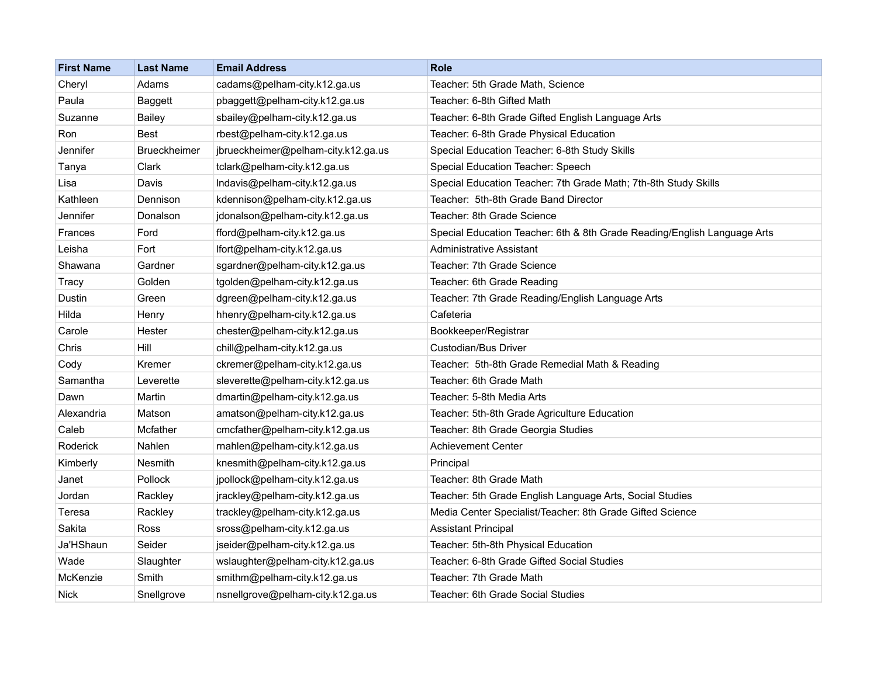| <b>First Name</b> | <b>Last Name</b>    | <b>Email Address</b>                | <b>Role</b>                                                              |
|-------------------|---------------------|-------------------------------------|--------------------------------------------------------------------------|
| Cheryl            | Adams               | cadams@pelham-city.k12.ga.us        | Teacher: 5th Grade Math, Science                                         |
| Paula             | <b>Baggett</b>      | pbaggett@pelham-city.k12.ga.us      | Teacher: 6-8th Gifted Math                                               |
| Suzanne           | <b>Bailey</b>       | sbailey@pelham-city.k12.ga.us       | Teacher: 6-8th Grade Gifted English Language Arts                        |
| Ron               | Best                | rbest@pelham-city.k12.ga.us         | Teacher: 6-8th Grade Physical Education                                  |
| Jennifer          | <b>Brueckheimer</b> | jbrueckheimer@pelham-city.k12.ga.us | Special Education Teacher: 6-8th Study Skills                            |
| Tanya             | Clark               | tclark@pelham-city.k12.ga.us        | Special Education Teacher: Speech                                        |
| Lisa              | Davis               | Indavis@pelham-city.k12.ga.us       | Special Education Teacher: 7th Grade Math; 7th-8th Study Skills          |
| Kathleen          | Dennison            | kdennison@pelham-city.k12.ga.us     | Teacher: 5th-8th Grade Band Director                                     |
| Jennifer          | Donalson            | jdonalson@pelham-city.k12.ga.us     | Teacher: 8th Grade Science                                               |
| Frances           | Ford                | fford@pelham-city.k12.ga.us         | Special Education Teacher: 6th & 8th Grade Reading/English Language Arts |
| Leisha            | Fort                | lfort@pelham-city.k12.ga.us         | Administrative Assistant                                                 |
| Shawana           | Gardner             | sgardner@pelham-city.k12.ga.us      | Teacher: 7th Grade Science                                               |
| Tracy             | Golden              | tgolden@pelham-city.k12.ga.us       | Teacher: 6th Grade Reading                                               |
| Dustin            | Green               | dgreen@pelham-city.k12.ga.us        | Teacher: 7th Grade Reading/English Language Arts                         |
| Hilda             | Henry               | hhenry@pelham-city.k12.ga.us        | Cafeteria                                                                |
| Carole            | Hester              | chester@pelham-city.k12.ga.us       | Bookkeeper/Registrar                                                     |
| Chris             | Hill                | chill@pelham-city.k12.ga.us         | Custodian/Bus Driver                                                     |
| Cody              | Kremer              | ckremer@pelham-city.k12.ga.us       | Teacher: 5th-8th Grade Remedial Math & Reading                           |
| Samantha          | Leverette           | sleverette@pelham-city.k12.ga.us    | Teacher: 6th Grade Math                                                  |
| Dawn              | Martin              | dmartin@pelham-city.k12.ga.us       | Teacher: 5-8th Media Arts                                                |
| Alexandria        | Matson              | amatson@pelham-city.k12.ga.us       | Teacher: 5th-8th Grade Agriculture Education                             |
| Caleb             | Mcfather            | cmcfather@pelham-city.k12.ga.us     | Teacher: 8th Grade Georgia Studies                                       |
| Roderick          | Nahlen              | rnahlen@pelham-city.k12.ga.us       | <b>Achievement Center</b>                                                |
| Kimberly          | Nesmith             | knesmith@pelham-city.k12.ga.us      | Principal                                                                |
| Janet             | Pollock             | jpollock@pelham-city.k12.ga.us      | Teacher: 8th Grade Math                                                  |
| Jordan            | Rackley             | jrackley@pelham-city.k12.ga.us      | Teacher: 5th Grade English Language Arts, Social Studies                 |
| Teresa            | Rackley             | trackley@pelham-city.k12.ga.us      | Media Center Specialist/Teacher: 8th Grade Gifted Science                |
| Sakita            | Ross                | sross@pelham-city.k12.ga.us         | <b>Assistant Principal</b>                                               |
| Ja'HShaun         | Seider              | jseider@pelham-city.k12.ga.us       | Teacher: 5th-8th Physical Education                                      |
| Wade              | Slaughter           | wslaughter@pelham-city.k12.ga.us    | Teacher: 6-8th Grade Gifted Social Studies                               |
| McKenzie          | Smith               | smithm@pelham-city.k12.ga.us        | Teacher: 7th Grade Math                                                  |
| Nick              | Snellgrove          | nsnellgrove@pelham-city.k12.ga.us   | Teacher: 6th Grade Social Studies                                        |